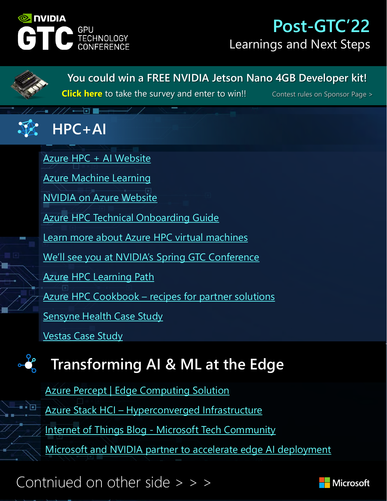

## **Post-GTC'22** Learnings and Next Steps

**[You could win a FREE NVIDIA Jetson Nano 4GB Developer kit!](http://aka.ms/gtc22)**

**Click here** [to take the survey and enter to win!!](http://aka.ms/gtc22) Contest rules on Sponsor Page >

## **HPC+AI**

[Azure HPC + AI Website](https://www.azure.com/hpc) Azure Machine Learning [NVIDIA on Azure Website](https://www.nvidiaonazure.com/) [Azure HPC Technical Onboarding Guide](https://www.aka.ms/onboardhpc) [Learn more about Azure HPC virtual machines](https://docs.microsoft.com/en-us/azure/virtual-machines/sizes-hpc) [We'll see you at NVIDIA's Spring GTC Conference](https://techcommunity.microsoft.com/t5/azure-compute-blog/we-ll-see-you-at-nvidia-s-spring-gtc-conference/ba-p/3194882) [Azure HPC Learning Path](https://docs.microsoft.com/en-us/learn/paths/run-high-performance-computing-applications-azure/) Azure HPC Cookbook – [recipes for partner solutions](https://azurehpc-certification.github.io/index.html) [Sensyne Health Case Study](https://www.aka.ms/hpc/sensynehealth)

[Vestas Case Study](https://www.aka.ms/hpc/Vestas)

# **Transforming AI & ML at the Edge**

Azure Percept | Edge Computing Solution Azure Stack HCI – Hyperconverged Infrastructure Internet of Things Blog - [Microsoft Tech Community](https://techcommunity.microsoft.com/t5/internet-of-things-blog/bg-p/IoTBlog/label-name/Azure%20Percept) [Microsoft and NVIDIA partner to accelerate edge AI deployment](https://techcommunity.microsoft.com/t5/internet-of-things-blog/microsoft-and-nvidia-partner-to-accelerate-edge-ai-deployment/ba-p/2897307)

Contniued on other side > > >